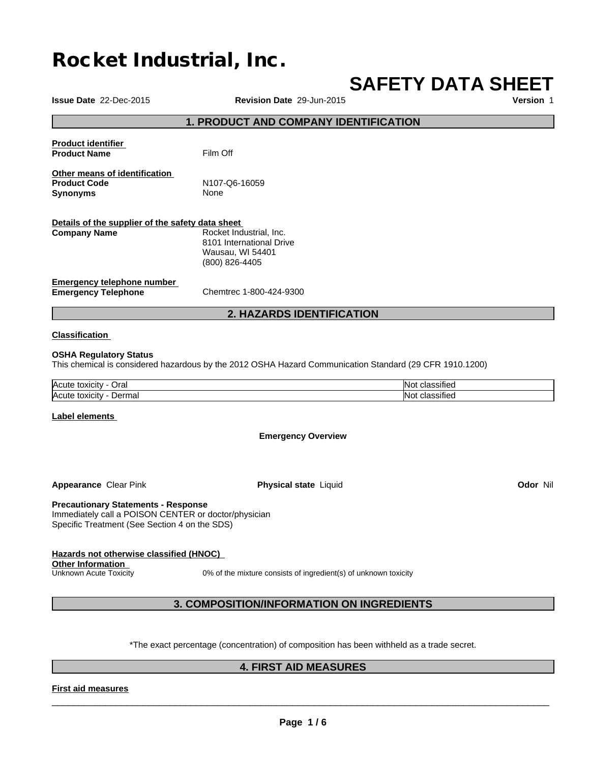# **Rocket Industrial, Inc.**

# **SAFETY DATA SHEET**

**Issue Date** 22-Dec-2015 **Revision Date** 29-Jun-2015 **Version** 1 **1. PRODUCT AND COMPANY IDENTIFICATION Product identifier Product Name** Film Off **Other means of identification Product Code** N107-Q6-16059 **Synonyms** None **Details of the supplier of the safety data sheet Emergency telephone number Emergency Telephone** Chemtrec 1-800-424-9300 **2. HAZARDS IDENTIFICATION Classification Company Name** Rocket Industrial, Inc. 8101 International Drive Wausau, WI 54401 (800) 826-4405

#### **OSHA Regulatory Status**

This chemical is considered hazardous by the 2012 OSHA Hazard Communication Standard (29 CFR 1910.1200)

| <b>IAcute</b>                                         | $\cdot$                          |
|-------------------------------------------------------|----------------------------------|
| Oral                                                  | INI                              |
| τοχιςιτν                                              | ssified                          |
| <b>Acute</b><br>Dermal<br>انکالار <b>C</b><br>.v<br>. | $\cdot$<br>IN اد<br>ssified<br>. |

#### **Label elements**

**Emergency Overview**

**Appearance Clear Pink <b>Physical state** Liquid

**Odor** Nil

#### **Precautionary Statements - Response**

Immediately call a POISON CENTER or doctor/physician Specific Treatment (See Section 4 on the SDS)

#### **Hazards not otherwise classified (HNOC) Other Information**

Unknown Acute Toxicity 0% of the mixture consists of ingredient(s) of unknown toxicity

#### **3. COMPOSITION/INFORMATION ON INGREDIENTS**

\*The exact percentage (concentration) of composition has been withheld as a trade secret.

#### **4. FIRST AID MEASURES**

#### **First aid measures**

 $\overline{\phantom{a}}$  ,  $\overline{\phantom{a}}$  ,  $\overline{\phantom{a}}$  ,  $\overline{\phantom{a}}$  ,  $\overline{\phantom{a}}$  ,  $\overline{\phantom{a}}$  ,  $\overline{\phantom{a}}$  ,  $\overline{\phantom{a}}$  ,  $\overline{\phantom{a}}$  ,  $\overline{\phantom{a}}$  ,  $\overline{\phantom{a}}$  ,  $\overline{\phantom{a}}$  ,  $\overline{\phantom{a}}$  ,  $\overline{\phantom{a}}$  ,  $\overline{\phantom{a}}$  ,  $\overline{\phantom{a}}$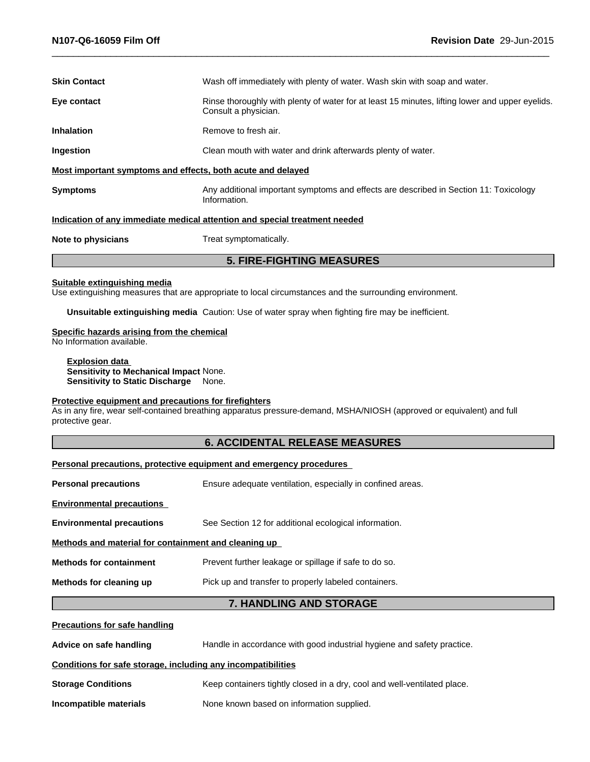| <b>5. FIRE-FIGHTING MEASURES</b>                            |                                                                                                                         |  |
|-------------------------------------------------------------|-------------------------------------------------------------------------------------------------------------------------|--|
| Note to physicians                                          | Treat symptomatically.                                                                                                  |  |
|                                                             | Indication of any immediate medical attention and special treatment needed                                              |  |
| <b>Symptoms</b>                                             | Any additional important symptoms and effects are described in Section 11: Toxicology<br>Information.                   |  |
| Most important symptoms and effects, both acute and delayed |                                                                                                                         |  |
| Ingestion                                                   | Clean mouth with water and drink afterwards plenty of water.                                                            |  |
| <b>Inhalation</b>                                           | Remove to fresh air.                                                                                                    |  |
| Eye contact                                                 | Rinse thoroughly with plenty of water for at least 15 minutes, lifting lower and upper eyelids.<br>Consult a physician. |  |
| <b>Skin Contact</b>                                         | Wash off immediately with plenty of water. Wash skin with soap and water.                                               |  |
|                                                             |                                                                                                                         |  |

#### **Suitable extinguishing media**

Use extinguishing measures that are appropriate to local circumstances and the surrounding environment.

**Unsuitable extinguishing media** Caution: Use of water spray when fighting fire may be inefficient.

#### **Specific hazards arising from the chemical**

No Information available.

**Explosion data Sensitivity to Mechanical Impact** None. **Sensitivity to Static Discharge** None.

#### **Protective equipment and precautions for firefighters**

As in any fire, wear self-contained breathing apparatus pressure-demand, MSHA/NIOSH (approved or equivalent) and full protective gear.

#### **6. ACCIDENTAL RELEASE MEASURES**

#### **Personal precautions, protective equipment and emergency procedures**

| Methods for cleaning up                              | Pick up and transfer to properly labeled containers.       |  |  |
|------------------------------------------------------|------------------------------------------------------------|--|--|
| <b>Methods for containment</b>                       | Prevent further leakage or spillage if safe to do so.      |  |  |
| Methods and material for containment and cleaning up |                                                            |  |  |
| <b>Environmental precautions</b>                     | See Section 12 for additional ecological information.      |  |  |
| <b>Environmental precautions</b>                     |                                                            |  |  |
| <b>Personal precautions</b>                          | Ensure adequate ventilation, especially in confined areas. |  |  |
|                                                      |                                                            |  |  |

#### **7. HANDLING AND STORAGE**

## **Precautions for safe handling Advice on safe handling** Handle in accordance with good industrial hygiene and safety practice. **Conditions for safe storage, including any incompatibilities Storage Conditions** Keep containers tightly closed in a dry, cool and well-ventilated place. **Incompatible materials** None known based on information supplied.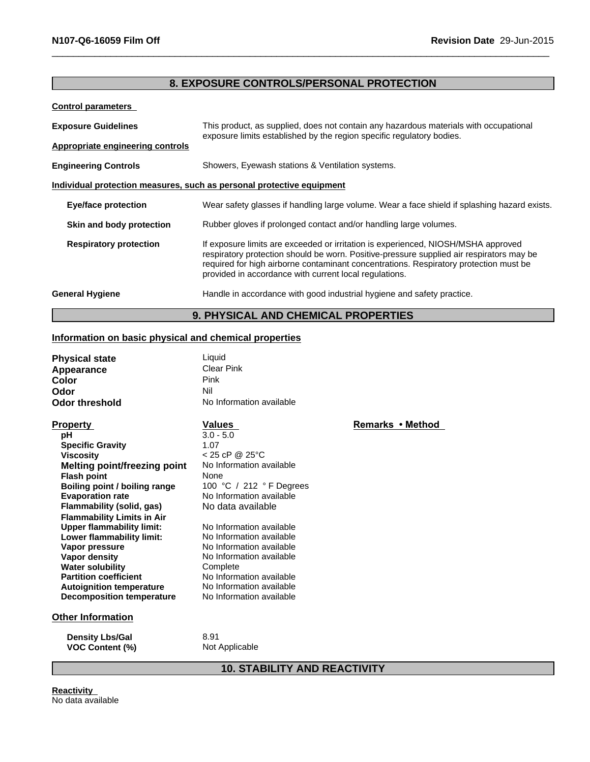### **8. EXPOSURE CONTROLS/PERSONAL PROTECTION**

**Control parameters**

| <b>Exposure Guidelines</b>       | This product, as supplied, does not contain any hazardous materials with occupational<br>exposure limits established by the region specific regulatory bodies.                                                                                                                                                                   |  |
|----------------------------------|----------------------------------------------------------------------------------------------------------------------------------------------------------------------------------------------------------------------------------------------------------------------------------------------------------------------------------|--|
| Appropriate engineering controls |                                                                                                                                                                                                                                                                                                                                  |  |
| <b>Engineering Controls</b>      | Showers, Eyewash stations & Ventilation systems.                                                                                                                                                                                                                                                                                 |  |
|                                  | Individual protection measures, such as personal protective equipment                                                                                                                                                                                                                                                            |  |
| <b>Eye/face protection</b>       | Wear safety glasses if handling large volume. Wear a face shield if splashing hazard exists.                                                                                                                                                                                                                                     |  |
| Skin and body protection         | Rubber gloves if prolonged contact and/or handling large volumes.                                                                                                                                                                                                                                                                |  |
| <b>Respiratory protection</b>    | If exposure limits are exceeded or irritation is experienced, NIOSH/MSHA approved<br>respiratory protection should be worn. Positive-pressure supplied air respirators may be<br>required for high airborne contaminant concentrations. Respiratory protection must be<br>provided in accordance with current local regulations. |  |
| <b>General Hygiene</b>           | Handle in accordance with good industrial hygiene and safety practice.                                                                                                                                                                                                                                                           |  |

**9. PHYSICAL AND CHEMICAL PROPERTIES**

#### **Information on basic physical and chemical properties**

| <b>Physical state</b>               | Liquid                   |                  |  |
|-------------------------------------|--------------------------|------------------|--|
| Appearance                          | <b>Clear Pink</b>        |                  |  |
| Color                               | Pink                     |                  |  |
| Odor                                | Nil                      |                  |  |
| Odor threshold                      | No Information available |                  |  |
| <b>Property</b>                     | Values                   | Remarks • Method |  |
| рH                                  | $3.0 - 5.0$              |                  |  |
| <b>Specific Gravity</b>             | 1.07                     |                  |  |
| <b>Viscosity</b>                    | $< 25$ cP @ 25°C         |                  |  |
| <b>Melting point/freezing point</b> | No Information available |                  |  |
| <b>Flash point</b>                  | None                     |                  |  |
| Boiling point / boiling range       | 100 °C / 212 ° F Degrees |                  |  |
| <b>Evaporation rate</b>             | No Information available |                  |  |
| Flammability (solid, gas)           | No data available        |                  |  |
| <b>Flammability Limits in Air</b>   |                          |                  |  |
| <b>Upper flammability limit:</b>    | No Information available |                  |  |
| Lower flammability limit:           | No Information available |                  |  |
| Vapor pressure                      | No Information available |                  |  |
| Vapor density                       | No Information available |                  |  |
| <b>Water solubility</b>             | Complete                 |                  |  |
| <b>Partition coefficient</b>        | No Information available |                  |  |
| <b>Autoignition temperature</b>     | No Information available |                  |  |
| <b>Decomposition temperature</b>    | No Information available |                  |  |
| <b>Other Information</b>            |                          |                  |  |
| <b>Density Lbs/Gal</b>              | 8.91                     |                  |  |
| <b>VOC Content (%)</b>              | Not Applicable           |                  |  |

**10. STABILITY AND REACTIVITY**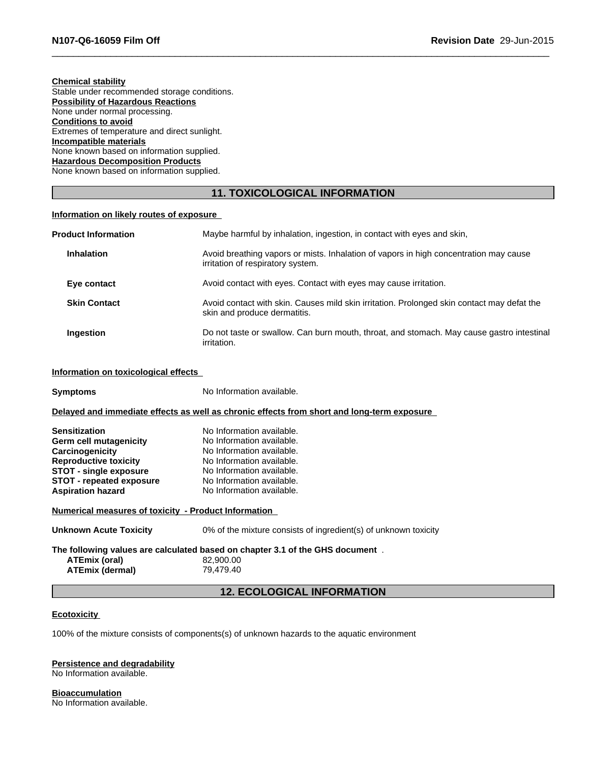### **Chemical stability**

Stable under recommended storage conditions. **Possibility of Hazardous Reactions** None under normal processing. **Conditions to avoid** Extremes of temperature and direct sunlight. **Incompatible materials** None known based on information supplied. **Hazardous Decomposition Products** None known based on information supplied.

#### **11. TOXICOLOGICAL INFORMATION**

#### **Information on likely routes of exposure**

| <b>Product Information</b> | Maybe harmful by inhalation, ingestion, in contact with eyes and skin,                                                     |
|----------------------------|----------------------------------------------------------------------------------------------------------------------------|
| <b>Inhalation</b>          | Avoid breathing vapors or mists. Inhalation of vapors in high concentration may cause<br>irritation of respiratory system. |
| Eye contact                | Avoid contact with eyes. Contact with eyes may cause irritation.                                                           |
| <b>Skin Contact</b>        | Avoid contact with skin. Causes mild skin irritation. Prolonged skin contact may defat the<br>skin and produce dermatitis. |
| <b>Ingestion</b>           | Do not taste or swallow. Can burn mouth, throat, and stomach. May cause gastro intestinal<br>irritation.                   |

#### **Information on toxicological effects**

**Symptoms** No Information available.

#### **Delayed and immediate effects as well as chronic effects from short and long-term exposure**

| <b>Sensitization</b>            | No Information available. |
|---------------------------------|---------------------------|
| Germ cell mutagenicity          | No Information available. |
| Carcinogenicity                 | No Information available. |
| <b>Reproductive toxicity</b>    | No Information available. |
| STOT - single exposure          | No Information available. |
| <b>STOT - repeated exposure</b> | No Information available. |
| <b>Aspiration hazard</b>        | No Information available. |

#### **Numerical measures of toxicity - Product Information**

| <b>Unknown Acute Toxicity</b> | 0% of the mixture consists of ingredient(s) of unknown toxicity |
|-------------------------------|-----------------------------------------------------------------|
|                               |                                                                 |

### **The following values are calculated based on chapter 3.1 of the GHS document** . **ATEmix (oral)** 82,900.00<br> **ATEmix (dermal)** 79,479.40

**ATEmix (dermal)**79,479.40

#### **12. ECOLOGICAL INFORMATION**

#### **Ecotoxicity**

100% of the mixture consists of components(s) of unknown hazards to the aquatic environment

#### **Persistence and degradability**

No Information available.

**Bioaccumulation** No Information available.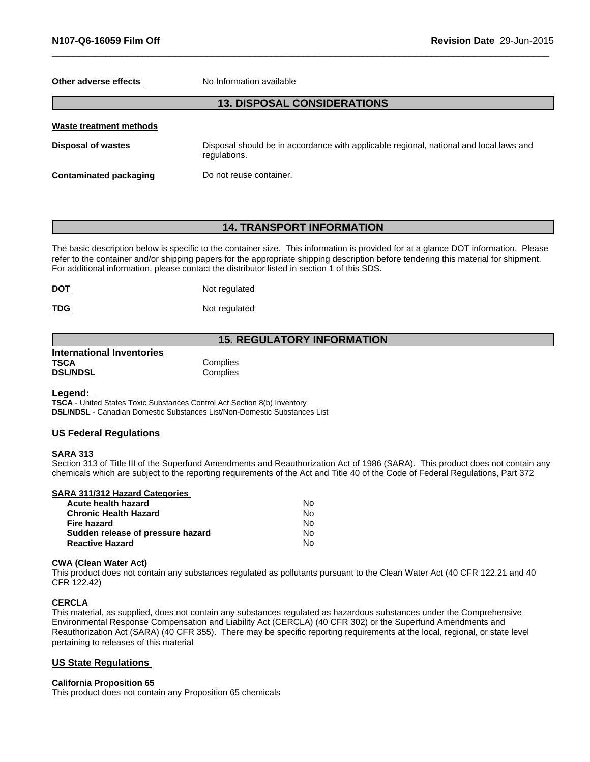#### **Other adverse effects** No Information available

#### **13. DISPOSAL CONSIDERATIONS**

| Waste treatment methods |                                                                                                        |
|-------------------------|--------------------------------------------------------------------------------------------------------|
| Disposal of wastes      | Disposal should be in accordance with applicable regional, national and local laws and<br>regulations. |
| Contaminated packaging  | Do not reuse container.                                                                                |

#### **14. TRANSPORT INFORMATION**

The basic description below is specific to the container size. This information is provided for at a glance DOT information. Please refer to the container and/or shipping papers for the appropriate shipping description before tendering this material for shipment. For additional information, please contact the distributor listed in section 1 of this SDS.

| <b>DOT</b><br>____ | Not regulated |
|--------------------|---------------|
|                    |               |

**TDG** Not regulated

#### **15. REGULATORY INFORMATION**

| <b>International Inventories</b> |          |  |
|----------------------------------|----------|--|
| <b>TSCA</b>                      | Complies |  |
| <b>DSL/NDSL</b>                  | Complies |  |

#### **Legend:**

**TSCA** - United States Toxic Substances Control Act Section 8(b) Inventory **DSL/NDSL** - Canadian Domestic Substances List/Non-Domestic Substances List

#### **US Federal Regulations**

#### **SARA 313**

Section 313 of Title III of the Superfund Amendments and Reauthorization Act of 1986 (SARA). This product does not contain any chemicals which are subject to the reporting requirements of the Act and Title 40 of the Code of Federal Regulations, Part 372

| SARA 311/312 Hazard Categories    |    |  |
|-----------------------------------|----|--|
| Acute health hazard               | Nο |  |
| <b>Chronic Health Hazard</b>      | No |  |
| <b>Fire hazard</b>                | Nο |  |
| Sudden release of pressure hazard | No |  |
| <b>Reactive Hazard</b>            | No |  |

#### **CWA (Clean WaterAct)**

This product does not contain any substances regulated as pollutants pursuant to the Clean Water Act (40 CFR 122.21 and 40 CFR 122.42)

#### **CERCLA**

This material, as supplied, does not contain any substances regulated as hazardous substances under the Comprehensive Environmental Response Compensation and Liability Act (CERCLA) (40 CFR 302) or the Superfund Amendments and Reauthorization Act (SARA) (40 CFR 355). There may be specific reporting requirements at the local, regional, or state level pertaining to releases of this material

#### **US State Regulations**

#### **California Proposition 65**

This product does not contain any Proposition 65 chemicals